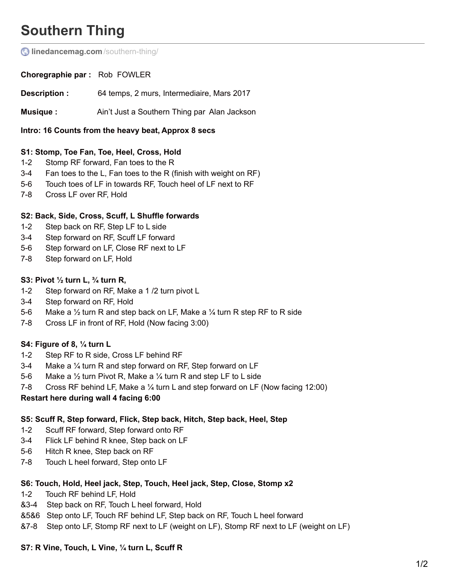# **Southern Thing**

*C* [linedancemag.com](http://www.linedancemag.com/southern-thing/)/southern-thing/

**Choregraphie par :** Rob FOWLER

**Description :** 64 temps, 2 murs, Intermediaire, Mars 2017

**Musique**: Ain't Just a Southern Thing par Alan Jackson

**Intro: 16 Counts from the heavy beat, Approx 8 secs**

#### **S1: Stomp, Toe Fan, Toe, Heel, Cross, Hold**

- 1-2 Stomp RF forward, Fan toes to the R
- 3-4 Fan toes to the L, Fan toes to the R (finish with weight on RF)
- 5-6 Touch toes of LF in towards RF, Touch heel of LF next to RF
- 7-8 Cross LF over RF, Hold

#### **S2: Back, Side, Cross, Scuff, L Shuffle forwards**

- 1-2 Step back on RF, Step LF to L side
- 3-4 Step forward on RF, Scuff LF forward
- 5-6 Step forward on LF, Close RF next to LF
- 7-8 Step forward on LF, Hold

#### **S3: Pivot ½ turn L, ¾ turn R,**

- 1-2 Step forward on RF, Make a 1 /2 turn pivot L
- 3-4 Step forward on RF, Hold
- 5-6 Make a  $\frac{1}{2}$  turn R and step back on LF, Make a  $\frac{1}{4}$  turn R step RF to R side
- 7-8 Cross LF in front of RF, Hold (Now facing 3:00)

#### **S4: Figure of 8, ¼ turn L**

- 1-2 Step RF to R side, Cross LF behind RF
- 3-4 Make a ¼ turn R and step forward on RF, Step forward on LF
- 5-6 Make a ½ turn Pivot R, Make a ¼ turn R and step LF to L side
- 7-8 Cross RF behind LF, Make a ¼ turn L and step forward on LF (Now facing 12:00)

#### **Restart here during wall 4 facing 6:00**

#### **S5: Scuff R, Step forward, Flick, Step back, Hitch, Step back, Heel, Step**

- 1-2 Scuff RF forward, Step forward onto RF
- 3-4 Flick LF behind R knee, Step back on LF
- 5-6 Hitch R knee, Step back on RF
- 7-8 Touch L heel forward, Step onto LF

#### **S6: Touch, Hold, Heel jack, Step, Touch, Heel jack, Step, Close, Stomp x2**

- 1-2 Touch RF behind LF, Hold
- &3-4 Step back on RF, Touch L heel forward, Hold
- &5&6 Step onto LF, Touch RF behind LF, Step back on RF, Touch L heel forward
- &7-8 Step onto LF, Stomp RF next to LF (weight on LF), Stomp RF next to LF (weight on LF)

#### **S7: R Vine, Touch, L Vine, ¼ turn L, Scuff R**